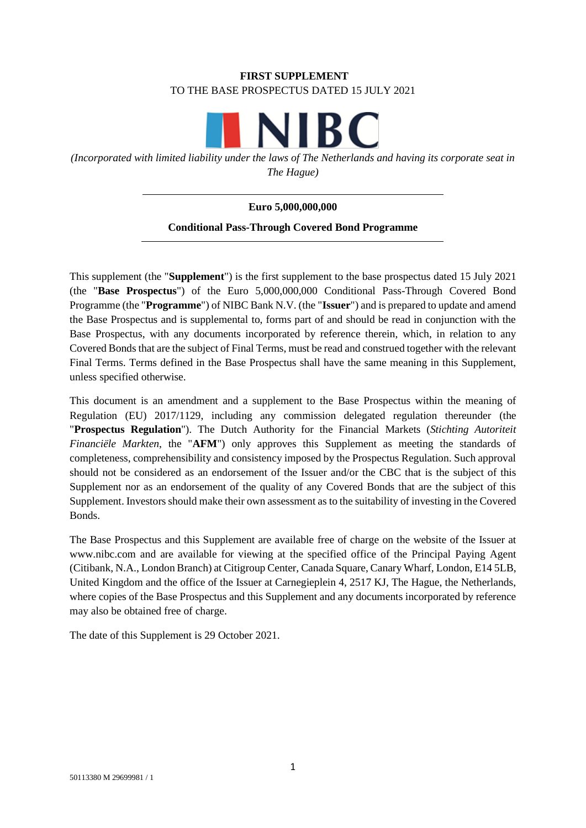# **FIRST SUPPLEMENT** TO THE BASE PROSPECTUS DATED 15 JULY 2021

**NIBC** 

*(Incorporated with limited liability under the laws of The Netherlands and having its corporate seat in The Hague)*

# **Euro 5,000,000,000**

# **Conditional Pass-Through Covered Bond Programme**

This supplement (the "**Supplement**") is the first supplement to the base prospectus dated 15 July 2021 (the "**Base Prospectus**") of the Euro 5,000,000,000 Conditional Pass-Through Covered Bond Programme (the "**Programme**") of NIBC Bank N.V. (the "**Issuer**") and is prepared to update and amend the Base Prospectus and is supplemental to, forms part of and should be read in conjunction with the Base Prospectus, with any documents incorporated by reference therein, which, in relation to any Covered Bonds that are the subject of Final Terms, must be read and construed together with the relevant Final Terms. Terms defined in the Base Prospectus shall have the same meaning in this Supplement, unless specified otherwise.

This document is an amendment and a supplement to the Base Prospectus within the meaning of Regulation (EU) 2017/1129, including any commission delegated regulation thereunder (the "**Prospectus Regulation**"). The Dutch Authority for the Financial Markets (*Stichting Autoriteit Financiële Markten*, the "**AFM**") only approves this Supplement as meeting the standards of completeness, comprehensibility and consistency imposed by the Prospectus Regulation. Such approval should not be considered as an endorsement of the Issuer and/or the CBC that is the subject of this Supplement nor as an endorsement of the quality of any Covered Bonds that are the subject of this Supplement. Investors should make their own assessment as to the suitability of investing in the Covered Bonds.

The Base Prospectus and this Supplement are available free of charge on the website of the Issuer at www.nibc.com and are available for viewing at the specified office of the Principal Paying Agent (Citibank, N.A., London Branch) at Citigroup Center, Canada Square, Canary Wharf, London, E14 5LB, United Kingdom and the office of the Issuer at Carnegieplein 4, 2517 KJ, The Hague, the Netherlands, where copies of the Base Prospectus and this Supplement and any documents incorporated by reference may also be obtained free of charge.

The date of this Supplement is 29 October 2021.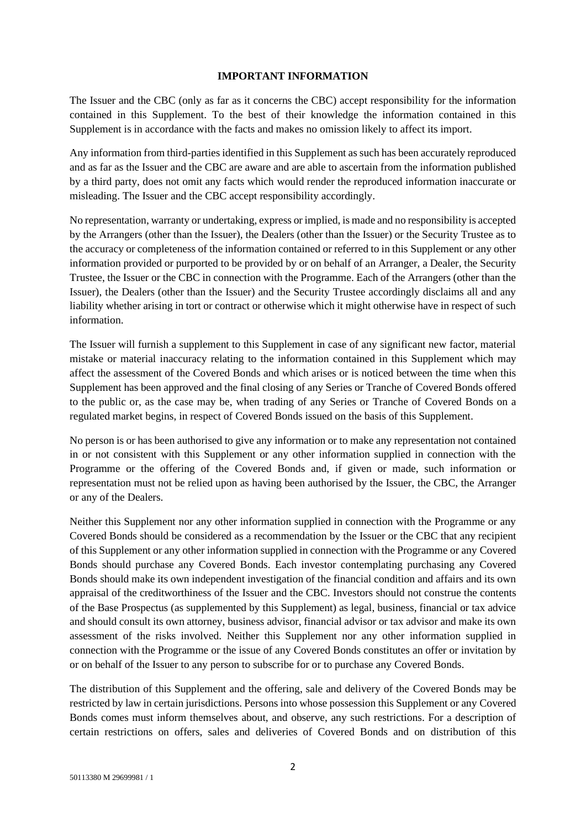#### **IMPORTANT INFORMATION**

The Issuer and the CBC (only as far as it concerns the CBC) accept responsibility for the information contained in this Supplement. To the best of their knowledge the information contained in this Supplement is in accordance with the facts and makes no omission likely to affect its import.

Any information from third-parties identified in this Supplement as such has been accurately reproduced and as far as the Issuer and the CBC are aware and are able to ascertain from the information published by a third party, does not omit any facts which would render the reproduced information inaccurate or misleading. The Issuer and the CBC accept responsibility accordingly.

No representation, warranty or undertaking, express or implied, is made and no responsibility is accepted by the Arrangers (other than the Issuer), the Dealers (other than the Issuer) or the Security Trustee as to the accuracy or completeness of the information contained or referred to in this Supplement or any other information provided or purported to be provided by or on behalf of an Arranger, a Dealer, the Security Trustee, the Issuer or the CBC in connection with the Programme. Each of the Arrangers (other than the Issuer), the Dealers (other than the Issuer) and the Security Trustee accordingly disclaims all and any liability whether arising in tort or contract or otherwise which it might otherwise have in respect of such information.

The Issuer will furnish a supplement to this Supplement in case of any significant new factor, material mistake or material inaccuracy relating to the information contained in this Supplement which may affect the assessment of the Covered Bonds and which arises or is noticed between the time when this Supplement has been approved and the final closing of any Series or Tranche of Covered Bonds offered to the public or, as the case may be, when trading of any Series or Tranche of Covered Bonds on a regulated market begins, in respect of Covered Bonds issued on the basis of this Supplement.

No person is or has been authorised to give any information or to make any representation not contained in or not consistent with this Supplement or any other information supplied in connection with the Programme or the offering of the Covered Bonds and, if given or made, such information or representation must not be relied upon as having been authorised by the Issuer, the CBC, the Arranger or any of the Dealers.

Neither this Supplement nor any other information supplied in connection with the Programme or any Covered Bonds should be considered as a recommendation by the Issuer or the CBC that any recipient of this Supplement or any other information supplied in connection with the Programme or any Covered Bonds should purchase any Covered Bonds. Each investor contemplating purchasing any Covered Bonds should make its own independent investigation of the financial condition and affairs and its own appraisal of the creditworthiness of the Issuer and the CBC. Investors should not construe the contents of the Base Prospectus (as supplemented by this Supplement) as legal, business, financial or tax advice and should consult its own attorney, business advisor, financial advisor or tax advisor and make its own assessment of the risks involved. Neither this Supplement nor any other information supplied in connection with the Programme or the issue of any Covered Bonds constitutes an offer or invitation by or on behalf of the Issuer to any person to subscribe for or to purchase any Covered Bonds.

The distribution of this Supplement and the offering, sale and delivery of the Covered Bonds may be restricted by law in certain jurisdictions. Persons into whose possession this Supplement or any Covered Bonds comes must inform themselves about, and observe, any such restrictions. For a description of certain restrictions on offers, sales and deliveries of Covered Bonds and on distribution of this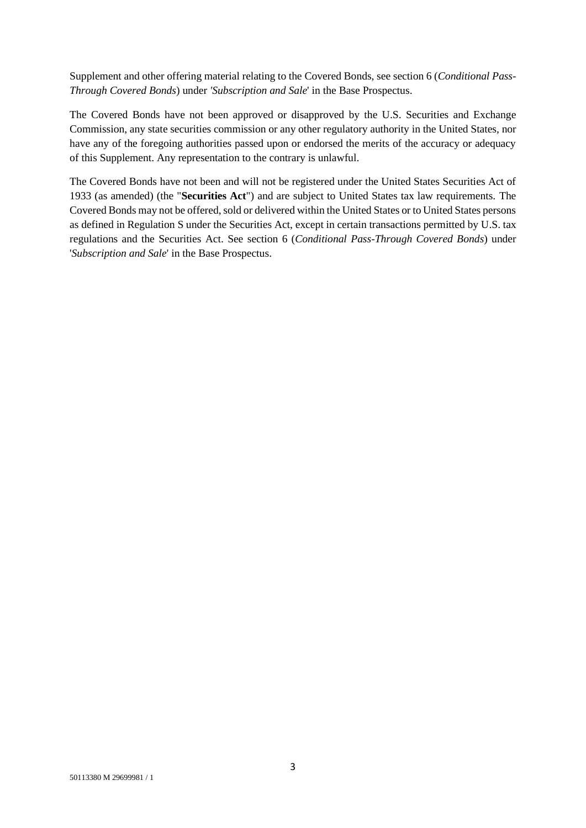Supplement and other offering material relating to the Covered Bonds, see section 6 (*Conditional Pass-Through Covered Bonds*) under *'Subscription and Sale*' in the Base Prospectus.

The Covered Bonds have not been approved or disapproved by the U.S. Securities and Exchange Commission, any state securities commission or any other regulatory authority in the United States, nor have any of the foregoing authorities passed upon or endorsed the merits of the accuracy or adequacy of this Supplement. Any representation to the contrary is unlawful.

The Covered Bonds have not been and will not be registered under the United States Securities Act of 1933 (as amended) (the "**Securities Act**") and are subject to United States tax law requirements. The Covered Bonds may not be offered, sold or delivered within the United States or to United States persons as defined in Regulation S under the Securities Act, except in certain transactions permitted by U.S. tax regulations and the Securities Act. See section 6 (*Conditional Pass-Through Covered Bonds*) under '*Subscription and Sale*' in the Base Prospectus.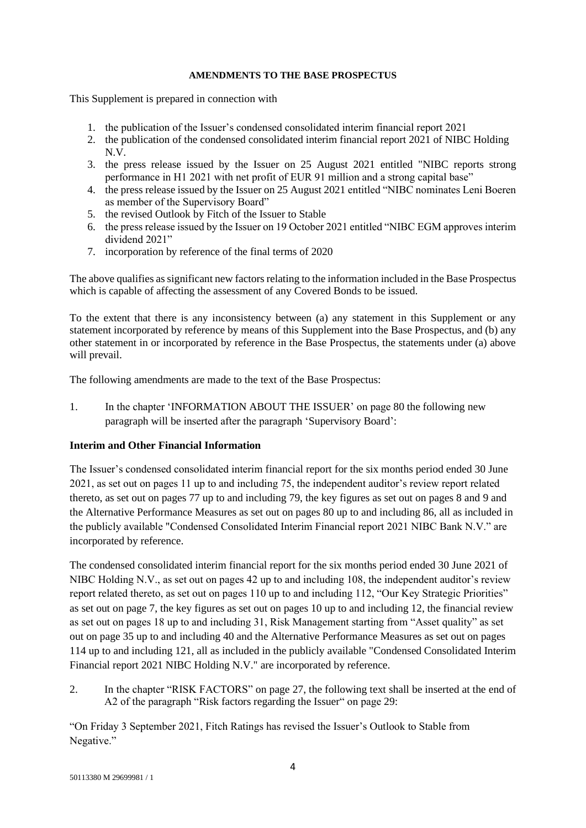#### **AMENDMENTS TO THE BASE PROSPECTUS**

This Supplement is prepared in connection with

- 1. the publication of the Issuer's condensed consolidated interim financial report 2021
- 2. the publication of the condensed consolidated interim financial report 2021 of NIBC Holding N.V.
- 3. the press release issued by the Issuer on 25 August 2021 entitled "NIBC reports strong performance in H1 2021 with net profit of EUR 91 million and a strong capital base"
- 4. the press release issued by the Issuer on 25 August 2021 entitled "NIBC nominates Leni Boeren as member of the Supervisory Board"
- 5. the revised Outlook by Fitch of the Issuer to Stable
- 6. the press release issued by the Issuer on 19 October 2021 entitled "NIBC EGM approves interim dividend 2021"
- 7. incorporation by reference of the final terms of 2020

The above qualifies as significant new factors relating to the information included in the Base Prospectus which is capable of affecting the assessment of any Covered Bonds to be issued.

To the extent that there is any inconsistency between (a) any statement in this Supplement or any statement incorporated by reference by means of this Supplement into the Base Prospectus, and (b) any other statement in or incorporated by reference in the Base Prospectus, the statements under (a) above will prevail.

The following amendments are made to the text of the Base Prospectus:

1. In the chapter 'INFORMATION ABOUT THE ISSUER' on page 80 the following new paragraph will be inserted after the paragraph 'Supervisory Board':

### **Interim and Other Financial Information**

The Issuer's condensed consolidated interim financial report for the six months period ended 30 June 2021, as set out on pages 11 up to and including 75, the independent auditor's review report related thereto, as set out on pages 77 up to and including 79, the key figures as set out on pages 8 and 9 and the Alternative Performance Measures as set out on pages 80 up to and including 86, all as included in the publicly available "Condensed Consolidated Interim Financial report 2021 NIBC Bank N.V." are incorporated by reference.

The condensed consolidated interim financial report for the six months period ended 30 June 2021 of NIBC Holding N.V., as set out on pages 42 up to and including 108, the independent auditor's review report related thereto, as set out on pages 110 up to and including 112, "Our Key Strategic Priorities" as set out on page 7, the key figures as set out on pages 10 up to and including 12, the financial review as set out on pages 18 up to and including 31, Risk Management starting from "Asset quality" as set out on page 35 up to and including 40 and the Alternative Performance Measures as set out on pages 114 up to and including 121, all as included in the publicly available "Condensed Consolidated Interim Financial report 2021 NIBC Holding N.V." are incorporated by reference.

2. In the chapter "RISK FACTORS" on page 27, the following text shall be inserted at the end of A2 of the paragraph "Risk factors regarding the Issuer" on page 29:

"On Friday 3 September 2021, Fitch Ratings has revised the Issuer's Outlook to Stable from Negative."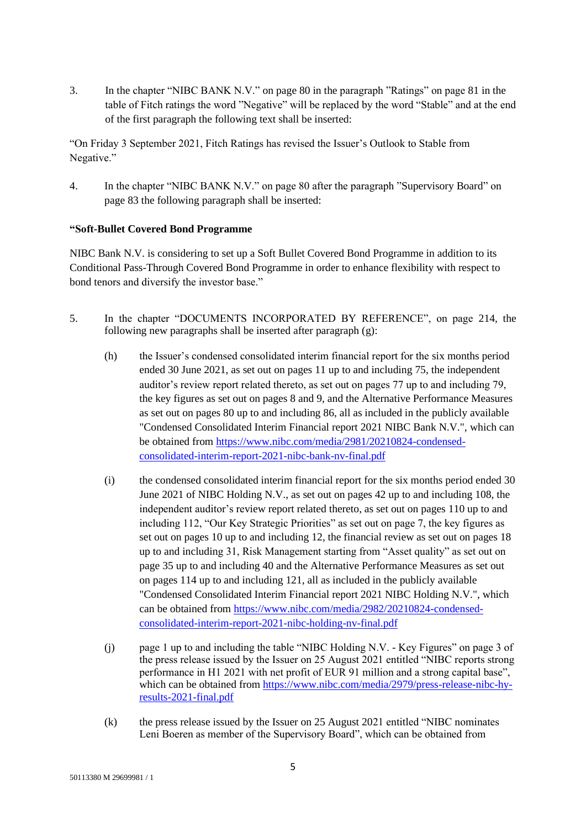3. In the chapter "NIBC BANK N.V." on page 80 in the paragraph "Ratings" on page 81 in the table of Fitch ratings the word "Negative" will be replaced by the word "Stable" and at the end of the first paragraph the following text shall be inserted:

"On Friday 3 September 2021, Fitch Ratings has revised the Issuer's Outlook to Stable from Negative."

4. In the chapter "NIBC BANK N.V." on page 80 after the paragraph "Supervisory Board" on page 83 the following paragraph shall be inserted:

### **"Soft-Bullet Covered Bond Programme**

NIBC Bank N.V. is considering to set up a Soft Bullet Covered Bond Programme in addition to its Conditional Pass-Through Covered Bond Programme in order to enhance flexibility with respect to bond tenors and diversify the investor base."

- 5. In the chapter "DOCUMENTS INCORPORATED BY REFERENCE", on page 214, the following new paragraphs shall be inserted after paragraph (g):
	- (h) the Issuer's condensed consolidated interim financial report for the six months period ended 30 June 2021, as set out on pages 11 up to and including 75, the independent auditor's review report related thereto, as set out on pages 77 up to and including 79, the key figures as set out on pages 8 and 9, and the Alternative Performance Measures as set out on pages 80 up to and including 86, all as included in the publicly available "Condensed Consolidated Interim Financial report 2021 NIBC Bank N.V.", which can be obtained from https://www.nibc.com/media/2981/20210824-condensedconsolidated-interim-report-2021-nibc-bank-nv-final.pdf
	- (i) the condensed consolidated interim financial report for the six months period ended 30 June 2021 of NIBC Holding N.V., as set out on pages 42 up to and including 108, the independent auditor's review report related thereto, as set out on pages 110 up to and including 112, "Our Key Strategic Priorities" as set out on page 7, the key figures as set out on pages 10 up to and including 12, the financial review as set out on pages 18 up to and including 31, Risk Management starting from "Asset quality" as set out on page 35 up to and including 40 and the Alternative Performance Measures as set out on pages 114 up to and including 121, all as included in the publicly available "Condensed Consolidated Interim Financial report 2021 NIBC Holding N.V.", which can be obtained from https://www.nibc.com/media/2982/20210824-condensedconsolidated-interim-report-2021-nibc-holding-nv-final.pdf
	- (j) page 1 up to and including the table "NIBC Holding N.V. Key Figures" on page 3 of the press release issued by the Issuer on 25 August 2021 entitled "NIBC reports strong performance in H1 2021 with net profit of EUR 91 million and a strong capital base", which can be obtained from [https://www.nibc.com/media/2979/press-release-nibc-hy](https://www.nibc.com/media/2979/press-release-nibc-hy-results-2021-final.pdf)[results-2021-final.pdf](https://www.nibc.com/media/2979/press-release-nibc-hy-results-2021-final.pdf)
	- (k) the press release issued by the Issuer on 25 August 2021 entitled "NIBC nominates Leni Boeren as member of the Supervisory Board", which can be obtained from